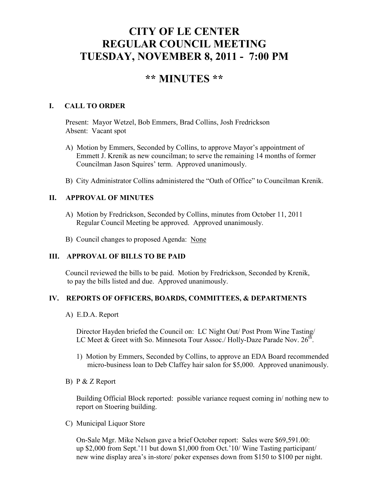# **CITY OF LE CENTER REGULAR COUNCIL MEETING TUESDAY, NOVEMBER 8, 2011 - 7:00 PM**

# **\*\* MINUTES \*\***

# **I. CALL TO ORDER**

Present: Mayor Wetzel, Bob Emmers, Brad Collins, Josh Fredrickson Absent: Vacant spot

- A) Motion by Emmers, Seconded by Collins, to approve Mayor's appointment of Emmett J. Krenik as new councilman; to serve the remaining 14 months of former Councilman Jason Squires' term. Approved unanimously.
- B) City Administrator Collins administered the "Oath of Office" to Councilman Krenik.

# **II. APPROVAL OF MINUTES**

- A) Motion by Fredrickson, Seconded by Collins, minutes from October 11, 2011 Regular Council Meeting be approved. Approved unanimously.
- B) Council changes to proposed Agenda: None

### **III. APPROVAL OF BILLS TO BE PAID**

Council reviewed the bills to be paid. Motion by Fredrickson, Seconded by Krenik, to pay the bills listed and due. Approved unanimously.

### **IV. REPORTS OF OFFICERS, BOARDS, COMMITTEES, & DEPARTMENTS**

A) E.D.A. Report

 Director Hayden briefed the Council on: LC Night Out/ Post Prom Wine Tasting/ LC Meet & Greet with So. Minnesota Tour Assoc./ Holly-Daze Parade Nov.  $26^{th}$ .

- 1) Motion by Emmers, Seconded by Collins, to approve an EDA Board recommended micro-business loan to Deb Claffey hair salon for \$5,000. Approved unanimously.
- B) P & Z Report

 Building Official Block reported: possible variance request coming in/ nothing new to report on Stoering building.

C) Municipal Liquor Store

On-Sale Mgr. Mike Nelson gave a brief October report: Sales were \$69,591.00: up \$2,000 from Sept.'11 but down \$1,000 from Oct.'10/ Wine Tasting participant/ new wine display area's in-store/ poker expenses down from \$150 to \$100 per night.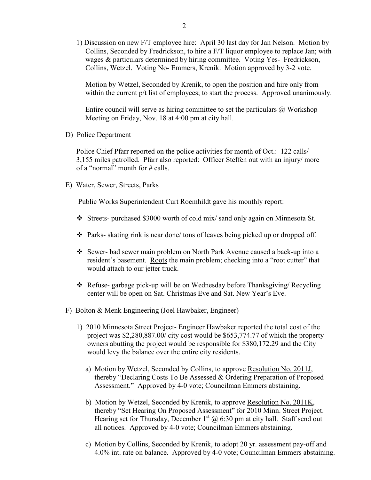1) Discussion on new F/T employee hire: April 30 last day for Jan Nelson. Motion by Collins, Seconded by Fredrickson, to hire a F/T liquor employee to replace Jan; with wages & particulars determined by hiring committee. Voting Yes- Fredrickson, Collins, Wetzel. Voting No- Emmers, Krenik. Motion approved by 3-2 vote.

 Motion by Wetzel, Seconded by Krenik, to open the position and hire only from within the current  $p/t$  list of employees; to start the process. Approved unanimously.

Entire council will serve as hiring committee to set the particulars  $\omega$  Workshop Meeting on Friday, Nov. 18 at 4:00 pm at city hall.

D) Police Department

Police Chief Pfarr reported on the police activities for month of Oct.: 122 calls/ 3,155 miles patrolled. Pfarr also reported: Officer Steffen out with an injury/ more of a "normal" month for  $\#$  calls.

E) Water, Sewer, Streets, Parks

Public Works Superintendent Curt Roemhildt gave his monthly report:

- $\div$  Streets- purchased \$3000 worth of cold mix/ sand only again on Minnesota St.
- $\cdot \cdot$  Parks- skating rink is near done/ tons of leaves being picked up or dropped off.
- Sewer- bad sewer main problem on North Park Avenue caused a back-up into a resident's basement. Roots the main problem; checking into a "root cutter" that would attach to our jetter truck.
- $\triangle$  Refuse- garbage pick-up will be on Wednesday before Thanksgiving/ Recycling center will be open on Sat. Christmas Eve and Sat. New Year's Eve.
- F) Bolton & Menk Engineering (Joel Hawbaker, Engineer)
	- 1) 2010 Minnesota Street Project- Engineer Hawbaker reported the total cost of the project was \$2,280,887.00/ city cost would be \$653,774.77 of which the property owners abutting the project would be responsible for \$380,172.29 and the City would levy the balance over the entire city residents.
		- a) Motion by Wetzel, Seconded by Collins, to approve Resolution No. 2011J, thereby "Declaring Costs To Be Assessed & Ordering Preparation of Proposed Assessment." Approved by 4-0 vote; Councilman Emmers abstaining.
- b) Motion by Wetzel, Seconded by Krenik, to approve Resolution No. 2011K, thereby "Set Hearing On Proposed Assessment" for 2010 Minn. Street Project. Hearing set for Thursday, December  $1<sup>st</sup>$  @ 6:30 pm at city hall. Staff send out all notices. Approved by 4-0 vote; Councilman Emmers abstaining.
	- c) Motion by Collins, Seconded by Krenik, to adopt 20 yr. assessment pay-off and 4.0% int. rate on balance. Approved by 4-0 vote; Councilman Emmers abstaining.